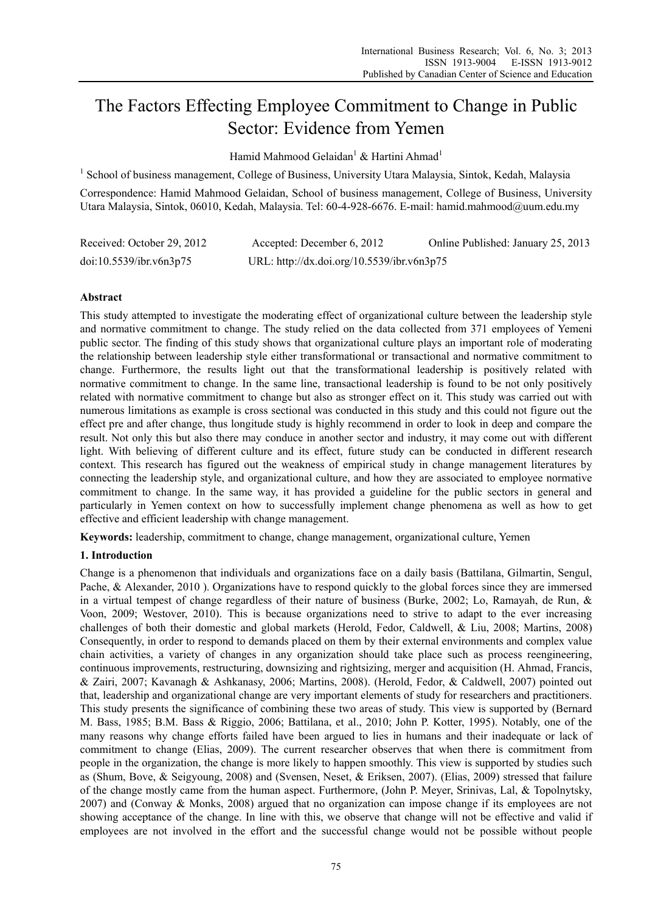# The Factors Effecting Employee Commitment to Change in Public Sector: Evidence from Yemen

Hamid Mahmood Gelaidan<sup>1</sup> & Hartini Ahmad<sup>1</sup>

<sup>1</sup> School of business management, College of Business, University Utara Malaysia, Sintok, Kedah, Malaysia

Correspondence: Hamid Mahmood Gelaidan, School of business management, College of Business, University Utara Malaysia, Sintok, 06010, Kedah, Malaysia. Tel: 60-4-928-6676. E-mail: hamid.mahmood@uum.edu.my

| Received: October 29, 2012 | Accepted: December 6, 2012                 | Online Published: January 25, 2013 |
|----------------------------|--------------------------------------------|------------------------------------|
| doi:10.5539/ibr.v6n3p75    | URL: http://dx.doi.org/10.5539/ibr.v6n3p75 |                                    |

# **Abstract**

This study attempted to investigate the moderating effect of organizational culture between the leadership style and normative commitment to change. The study relied on the data collected from 371 employees of Yemeni public sector. The finding of this study shows that organizational culture plays an important role of moderating the relationship between leadership style either transformational or transactional and normative commitment to change. Furthermore, the results light out that the transformational leadership is positively related with normative commitment to change. In the same line, transactional leadership is found to be not only positively related with normative commitment to change but also as stronger effect on it. This study was carried out with numerous limitations as example is cross sectional was conducted in this study and this could not figure out the effect pre and after change, thus longitude study is highly recommend in order to look in deep and compare the result. Not only this but also there may conduce in another sector and industry, it may come out with different light. With believing of different culture and its effect, future study can be conducted in different research context. This research has figured out the weakness of empirical study in change management literatures by connecting the leadership style, and organizational culture, and how they are associated to employee normative commitment to change. In the same way, it has provided a guideline for the public sectors in general and particularly in Yemen context on how to successfully implement change phenomena as well as how to get effective and efficient leadership with change management.

**Keywords:** leadership, commitment to change, change management, organizational culture, Yemen

## **1. Introduction**

Change is a phenomenon that individuals and organizations face on a daily basis (Battilana, Gilmartin, Sengul, Pache, & Alexander, 2010 ). Organizations have to respond quickly to the global forces since they are immersed in a virtual tempest of change regardless of their nature of business (Burke, 2002; Lo, Ramayah, de Run, & Voon, 2009; Westover, 2010). This is because organizations need to strive to adapt to the ever increasing challenges of both their domestic and global markets (Herold, Fedor, Caldwell, & Liu, 2008; Martins, 2008) Consequently, in order to respond to demands placed on them by their external environments and complex value chain activities, a variety of changes in any organization should take place such as process reengineering, continuous improvements, restructuring, downsizing and rightsizing, merger and acquisition (H. Ahmad, Francis, & Zairi, 2007; Kavanagh & Ashkanasy, 2006; Martins, 2008). (Herold, Fedor, & Caldwell, 2007) pointed out that, leadership and organizational change are very important elements of study for researchers and practitioners. This study presents the significance of combining these two areas of study. This view is supported by (Bernard M. Bass, 1985; B.M. Bass & Riggio, 2006; Battilana, et al., 2010; John P. Kotter, 1995). Notably, one of the many reasons why change efforts failed have been argued to lies in humans and their inadequate or lack of commitment to change (Elias, 2009). The current researcher observes that when there is commitment from people in the organization, the change is more likely to happen smoothly. This view is supported by studies such as (Shum, Bove, & Seigyoung, 2008) and (Svensen, Neset, & Eriksen, 2007). (Elias, 2009) stressed that failure of the change mostly came from the human aspect. Furthermore, (John P. Meyer, Srinivas, Lal, & Topolnytsky, 2007) and (Conway & Monks, 2008) argued that no organization can impose change if its employees are not showing acceptance of the change. In line with this, we observe that change will not be effective and valid if employees are not involved in the effort and the successful change would not be possible without people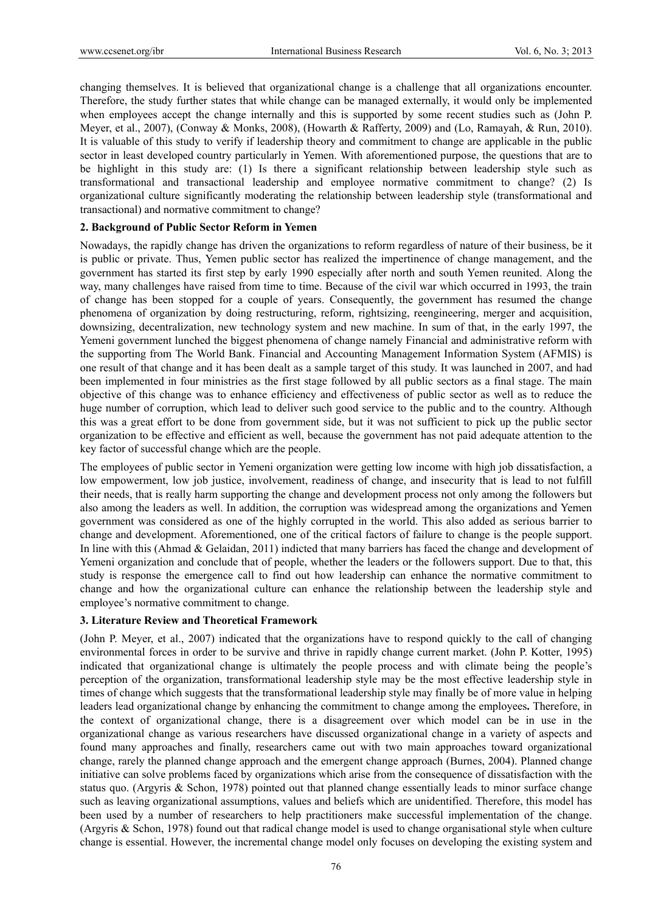changing themselves. It is believed that organizational change is a challenge that all organizations encounter. Therefore, the study further states that while change can be managed externally, it would only be implemented when employees accept the change internally and this is supported by some recent studies such as (John P. Meyer, et al., 2007), (Conway & Monks, 2008), (Howarth & Rafferty, 2009) and (Lo, Ramayah, & Run, 2010). It is valuable of this study to verify if leadership theory and commitment to change are applicable in the public sector in least developed country particularly in Yemen. With aforementioned purpose, the questions that are to be highlight in this study are: (1) Is there a significant relationship between leadership style such as transformational and transactional leadership and employee normative commitment to change? (2) Is organizational culture significantly moderating the relationship between leadership style (transformational and transactional) and normative commitment to change?

# **2. Background of Public Sector Reform in Yemen**

Nowadays, the rapidly change has driven the organizations to reform regardless of nature of their business, be it is public or private. Thus, Yemen public sector has realized the impertinence of change management, and the government has started its first step by early 1990 especially after north and south Yemen reunited. Along the way, many challenges have raised from time to time. Because of the civil war which occurred in 1993, the train of change has been stopped for a couple of years. Consequently, the government has resumed the change phenomena of organization by doing restructuring, reform, rightsizing, reengineering, merger and acquisition, downsizing, decentralization, new technology system and new machine. In sum of that, in the early 1997, the Yemeni government lunched the biggest phenomena of change namely Financial and administrative reform with the supporting from The World Bank. Financial and Accounting Management Information System (AFMIS) is one result of that change and it has been dealt as a sample target of this study. It was launched in 2007, and had been implemented in four ministries as the first stage followed by all public sectors as a final stage. The main objective of this change was to enhance efficiency and effectiveness of public sector as well as to reduce the huge number of corruption, which lead to deliver such good service to the public and to the country. Although this was a great effort to be done from government side, but it was not sufficient to pick up the public sector organization to be effective and efficient as well, because the government has not paid adequate attention to the key factor of successful change which are the people.

The employees of public sector in Yemeni organization were getting low income with high job dissatisfaction, a low empowerment, low job justice, involvement, readiness of change, and insecurity that is lead to not fulfill their needs, that is really harm supporting the change and development process not only among the followers but also among the leaders as well. In addition, the corruption was widespread among the organizations and Yemen government was considered as one of the highly corrupted in the world. This also added as serious barrier to change and development. Aforementioned, one of the critical factors of failure to change is the people support. In line with this (Ahmad & Gelaidan, 2011) indicted that many barriers has faced the change and development of Yemeni organization and conclude that of people, whether the leaders or the followers support. Due to that, this study is response the emergence call to find out how leadership can enhance the normative commitment to change and how the organizational culture can enhance the relationship between the leadership style and employee's normative commitment to change.

## **3. Literature Review and Theoretical Framework**

(John P. Meyer, et al., 2007) indicated that the organizations have to respond quickly to the call of changing environmental forces in order to be survive and thrive in rapidly change current market. (John P. Kotter, 1995) indicated that organizational change is ultimately the people process and with climate being the people's perception of the organization, transformational leadership style may be the most effective leadership style in times of change which suggests that the transformational leadership style may finally be of more value in helping leaders lead organizational change by enhancing the commitment to change among the employees**.** Therefore, in the context of organizational change, there is a disagreement over which model can be in use in the organizational change as various researchers have discussed organizational change in a variety of aspects and found many approaches and finally, researchers came out with two main approaches toward organizational change, rarely the planned change approach and the emergent change approach (Burnes, 2004). Planned change initiative can solve problems faced by organizations which arise from the consequence of dissatisfaction with the status quo. (Argyris & Schon, 1978) pointed out that planned change essentially leads to minor surface change such as leaving organizational assumptions, values and beliefs which are unidentified. Therefore, this model has been used by a number of researchers to help practitioners make successful implementation of the change. (Argyris & Schon, 1978) found out that radical change model is used to change organisational style when culture change is essential. However, the incremental change model only focuses on developing the existing system and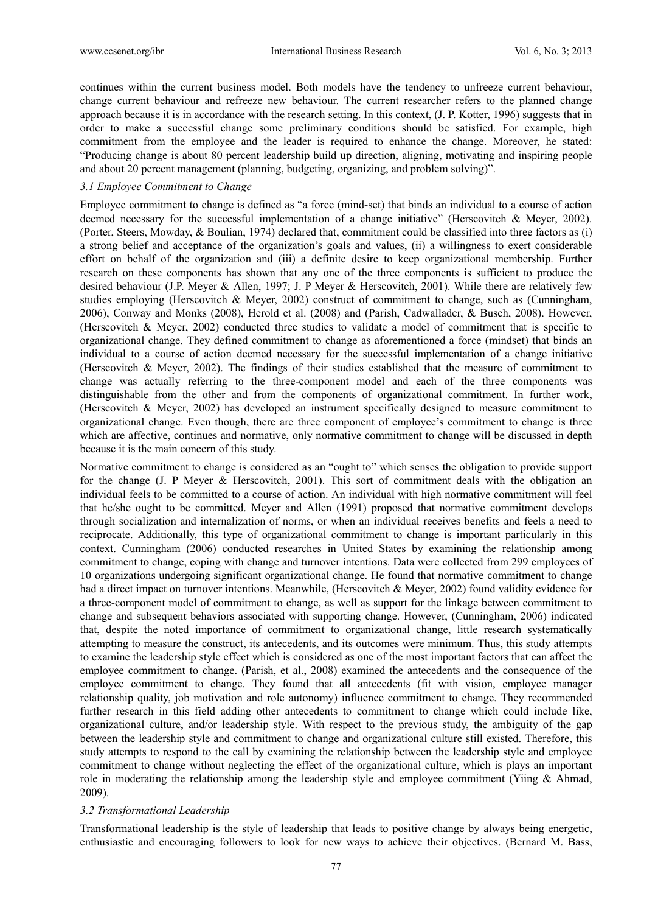continues within the current business model. Both models have the tendency to unfreeze current behaviour, change current behaviour and refreeze new behaviour. The current researcher refers to the planned change approach because it is in accordance with the research setting. In this context, (J. P. Kotter, 1996) suggests that in order to make a successful change some preliminary conditions should be satisfied. For example, high commitment from the employee and the leader is required to enhance the change. Moreover, he stated: "Producing change is about 80 percent leadership build up direction, aligning, motivating and inspiring people and about 20 percent management (planning, budgeting, organizing, and problem solving)".

#### *3.1 Employee Commitment to Change*

Employee commitment to change is defined as "a force (mind-set) that binds an individual to a course of action deemed necessary for the successful implementation of a change initiative" (Herscovitch & Meyer, 2002). (Porter, Steers, Mowday, & Boulian, 1974) declared that, commitment could be classified into three factors as (i) a strong belief and acceptance of the organization's goals and values, (ii) a willingness to exert considerable effort on behalf of the organization and (iii) a definite desire to keep organizational membership. Further research on these components has shown that any one of the three components is sufficient to produce the desired behaviour (J.P. Meyer & Allen, 1997; J. P Meyer & Herscovitch, 2001). While there are relatively few studies employing (Herscovitch & Meyer, 2002) construct of commitment to change, such as (Cunningham, 2006), Conway and Monks (2008), Herold et al. (2008) and (Parish, Cadwallader, & Busch, 2008). However, (Herscovitch & Meyer, 2002) conducted three studies to validate a model of commitment that is specific to organizational change. They defined commitment to change as aforementioned a force (mindset) that binds an individual to a course of action deemed necessary for the successful implementation of a change initiative (Herscovitch & Meyer, 2002). The findings of their studies established that the measure of commitment to change was actually referring to the three-component model and each of the three components was distinguishable from the other and from the components of organizational commitment. In further work, (Herscovitch & Meyer, 2002) has developed an instrument specifically designed to measure commitment to organizational change. Even though, there are three component of employee's commitment to change is three which are affective, continues and normative, only normative commitment to change will be discussed in depth because it is the main concern of this study.

Normative commitment to change is considered as an "ought to" which senses the obligation to provide support for the change (J. P Meyer & Herscovitch, 2001). This sort of commitment deals with the obligation an individual feels to be committed to a course of action. An individual with high normative commitment will feel that he/she ought to be committed. Meyer and Allen (1991) proposed that normative commitment develops through socialization and internalization of norms, or when an individual receives benefits and feels a need to reciprocate. Additionally, this type of organizational commitment to change is important particularly in this context. Cunningham (2006) conducted researches in United States by examining the relationship among commitment to change, coping with change and turnover intentions. Data were collected from 299 employees of 10 organizations undergoing significant organizational change. He found that normative commitment to change had a direct impact on turnover intentions. Meanwhile, (Herscovitch & Meyer, 2002) found validity evidence for a three-component model of commitment to change, as well as support for the linkage between commitment to change and subsequent behaviors associated with supporting change. However, (Cunningham, 2006) indicated that, despite the noted importance of commitment to organizational change, little research systematically attempting to measure the construct, its antecedents, and its outcomes were minimum. Thus, this study attempts to examine the leadership style effect which is considered as one of the most important factors that can affect the employee commitment to change. (Parish, et al., 2008) examined the antecedents and the consequence of the employee commitment to change. They found that all antecedents (fit with vision, employee manager relationship quality, job motivation and role autonomy) influence commitment to change. They recommended further research in this field adding other antecedents to commitment to change which could include like, organizational culture, and/or leadership style. With respect to the previous study, the ambiguity of the gap between the leadership style and commitment to change and organizational culture still existed. Therefore, this study attempts to respond to the call by examining the relationship between the leadership style and employee commitment to change without neglecting the effect of the organizational culture, which is plays an important role in moderating the relationship among the leadership style and employee commitment (Yiing & Ahmad, 2009).

#### *3.2 Transformational Leadership*

Transformational leadership is the style of leadership that leads to positive change by always being energetic, enthusiastic and encouraging followers to look for new ways to achieve their objectives. (Bernard M. Bass,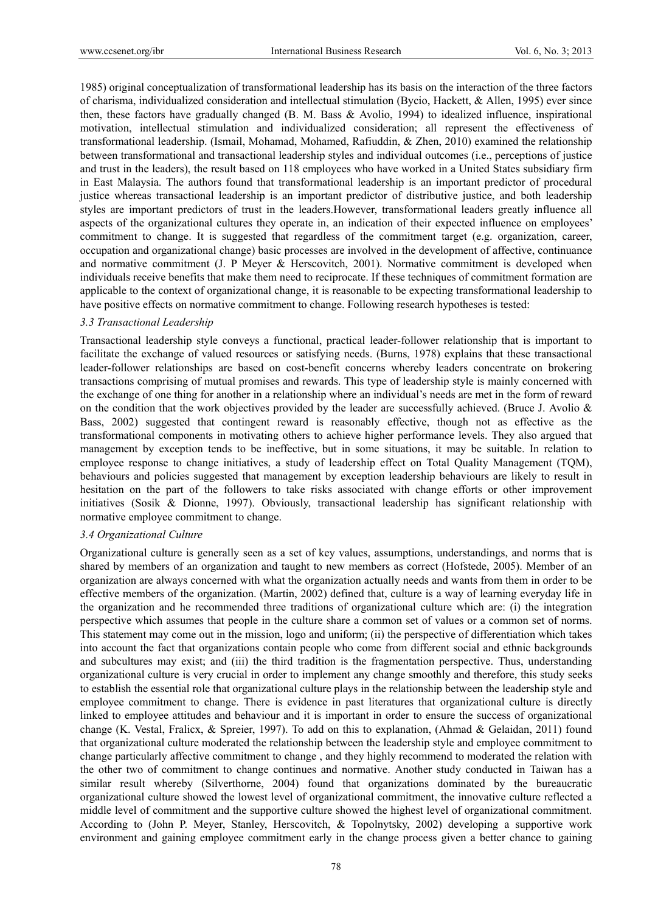1985) original conceptualization of transformational leadership has its basis on the interaction of the three factors of charisma, individualized consideration and intellectual stimulation (Bycio, Hackett, & Allen, 1995) ever since then, these factors have gradually changed (B. M. Bass & Avolio, 1994) to idealized influence, inspirational motivation, intellectual stimulation and individualized consideration; all represent the effectiveness of transformational leadership. (Ismail, Mohamad, Mohamed, Rafiuddin, & Zhen, 2010) examined the relationship between transformational and transactional leadership styles and individual outcomes (i.e., perceptions of justice and trust in the leaders), the result based on 118 employees who have worked in a United States subsidiary firm in East Malaysia. The authors found that transformational leadership is an important predictor of procedural justice whereas transactional leadership is an important predictor of distributive justice, and both leadership styles are important predictors of trust in the leaders.However, transformational leaders greatly influence all aspects of the organizational cultures they operate in, an indication of their expected influence on employees' commitment to change. It is suggested that regardless of the commitment target (e.g. organization, career, occupation and organizational change) basic processes are involved in the development of affective, continuance and normative commitment (J. P Meyer & Herscovitch, 2001). Normative commitment is developed when individuals receive benefits that make them need to reciprocate. If these techniques of commitment formation are applicable to the context of organizational change, it is reasonable to be expecting transformational leadership to have positive effects on normative commitment to change. Following research hypotheses is tested:

## *3.3 Transactional Leadership*

Transactional leadership style conveys a functional, practical leader-follower relationship that is important to facilitate the exchange of valued resources or satisfying needs. (Burns, 1978) explains that these transactional leader-follower relationships are based on cost-benefit concerns whereby leaders concentrate on brokering transactions comprising of mutual promises and rewards. This type of leadership style is mainly concerned with the exchange of one thing for another in a relationship where an individual's needs are met in the form of reward on the condition that the work objectives provided by the leader are successfully achieved. (Bruce J. Avolio  $\&$ Bass, 2002) suggested that contingent reward is reasonably effective, though not as effective as the transformational components in motivating others to achieve higher performance levels. They also argued that management by exception tends to be ineffective, but in some situations, it may be suitable. In relation to employee response to change initiatives, a study of leadership effect on Total Quality Management (TQM), behaviours and policies suggested that management by exception leadership behaviours are likely to result in hesitation on the part of the followers to take risks associated with change efforts or other improvement initiatives (Sosik & Dionne, 1997). Obviously, transactional leadership has significant relationship with normative employee commitment to change.

## *3.4 Organizational Culture*

Organizational culture is generally seen as a set of key values, assumptions, understandings, and norms that is shared by members of an organization and taught to new members as correct (Hofstede, 2005). Member of an organization are always concerned with what the organization actually needs and wants from them in order to be effective members of the organization. (Martin, 2002) defined that, culture is a way of learning everyday life in the organization and he recommended three traditions of organizational culture which are: (i) the integration perspective which assumes that people in the culture share a common set of values or a common set of norms. This statement may come out in the mission, logo and uniform; (ii) the perspective of differentiation which takes into account the fact that organizations contain people who come from different social and ethnic backgrounds and subcultures may exist; and (iii) the third tradition is the fragmentation perspective. Thus, understanding organizational culture is very crucial in order to implement any change smoothly and therefore, this study seeks to establish the essential role that organizational culture plays in the relationship between the leadership style and employee commitment to change. There is evidence in past literatures that organizational culture is directly linked to employee attitudes and behaviour and it is important in order to ensure the success of organizational change (K. Vestal, Fralicx, & Spreier, 1997). To add on this to explanation, (Ahmad & Gelaidan, 2011) found that organizational culture moderated the relationship between the leadership style and employee commitment to change particularly affective commitment to change , and they highly recommend to moderated the relation with the other two of commitment to change continues and normative. Another study conducted in Taiwan has a similar result whereby (Silverthorne, 2004) found that organizations dominated by the bureaucratic organizational culture showed the lowest level of organizational commitment, the innovative culture reflected a middle level of commitment and the supportive culture showed the highest level of organizational commitment. According to (John P. Meyer, Stanley, Herscovitch, & Topolnytsky, 2002) developing a supportive work environment and gaining employee commitment early in the change process given a better chance to gaining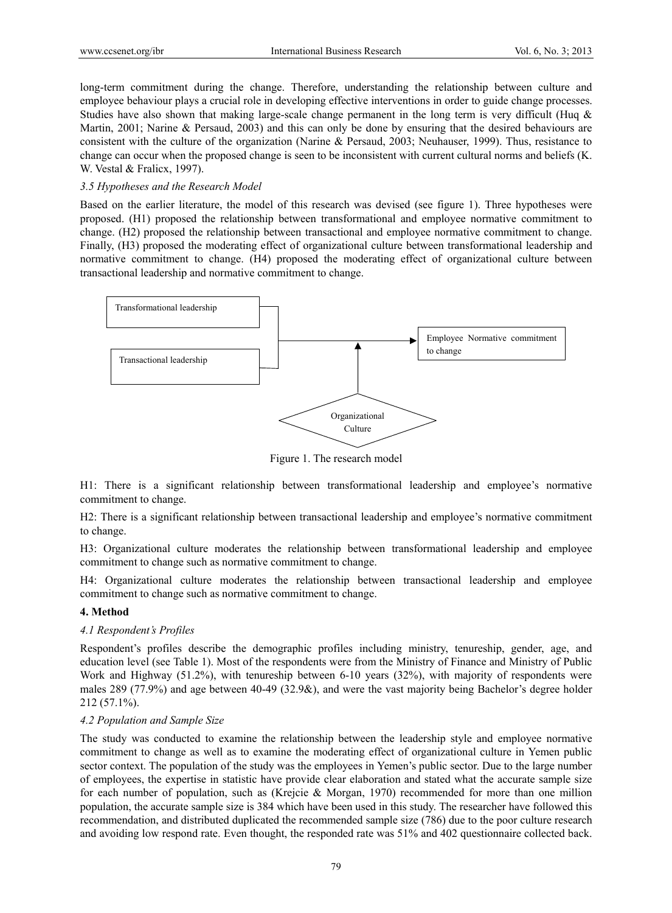long-term commitment during the change. Therefore, understanding the relationship between culture and employee behaviour plays a crucial role in developing effective interventions in order to guide change processes. Studies have also shown that making large-scale change permanent in the long term is very difficult (Huq & Martin, 2001; Narine & Persaud, 2003) and this can only be done by ensuring that the desired behaviours are consistent with the culture of the organization (Narine & Persaud, 2003; Neuhauser, 1999). Thus, resistance to change can occur when the proposed change is seen to be inconsistent with current cultural norms and beliefs (K. W. Vestal & Fralicx, 1997).

# *3.5 Hypotheses and the Research Model*

Based on the earlier literature, the model of this research was devised (see figure 1). Three hypotheses were proposed. (H1) proposed the relationship between transformational and employee normative commitment to change. (H2) proposed the relationship between transactional and employee normative commitment to change. Finally, (H3) proposed the moderating effect of organizational culture between transformational leadership and normative commitment to change. (H4) proposed the moderating effect of organizational culture between transactional leadership and normative commitment to change.



Figure 1. The research model

H1: There is a significant relationship between transformational leadership and employee's normative commitment to change.

H2: There is a significant relationship between transactional leadership and employee's normative commitment to change.

H3: Organizational culture moderates the relationship between transformational leadership and employee commitment to change such as normative commitment to change.

H4: Organizational culture moderates the relationship between transactional leadership and employee commitment to change such as normative commitment to change.

# **4. Method**

## *4.1 Respondent's Profiles*

Respondent's profiles describe the demographic profiles including ministry, tenureship, gender, age, and education level (see Table 1). Most of the respondents were from the Ministry of Finance and Ministry of Public Work and Highway (51.2%), with tenureship between 6-10 years (32%), with majority of respondents were males 289 (77.9%) and age between 40-49 (32.9&), and were the vast majority being Bachelor's degree holder 212 (57.1%).

## *4.2 Population and Sample Size*

The study was conducted to examine the relationship between the leadership style and employee normative commitment to change as well as to examine the moderating effect of organizational culture in Yemen public sector context. The population of the study was the employees in Yemen's public sector. Due to the large number of employees, the expertise in statistic have provide clear elaboration and stated what the accurate sample size for each number of population, such as (Krejcie & Morgan, 1970) recommended for more than one million population, the accurate sample size is 384 which have been used in this study. The researcher have followed this recommendation, and distributed duplicated the recommended sample size (786) due to the poor culture research and avoiding low respond rate. Even thought, the responded rate was 51% and 402 questionnaire collected back.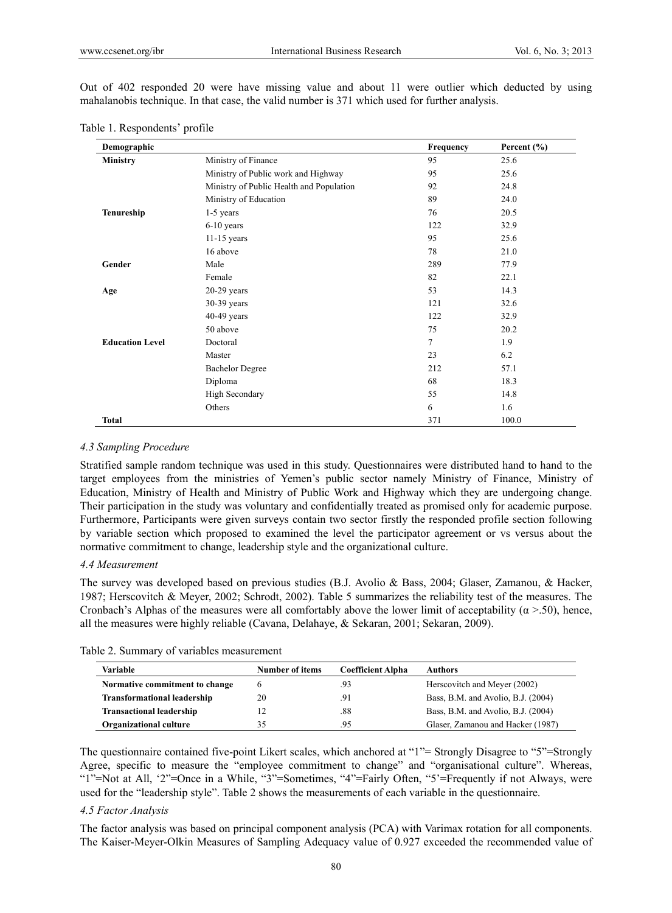Out of 402 responded 20 were have missing value and about 11 were outlier which deducted by using mahalanobis technique. In that case, the valid number is 371 which used for further analysis.

| Demographic            |                                          | <b>Frequency</b> | Percent $(\% )$ |
|------------------------|------------------------------------------|------------------|-----------------|
| <b>Ministry</b>        | Ministry of Finance                      | 95               | 25.6            |
|                        | Ministry of Public work and Highway      | 95               | 25.6            |
|                        | Ministry of Public Health and Population | 92               | 24.8            |
|                        | Ministry of Education                    | 89               | 24.0            |
| Tenureship             | 1-5 years                                | 76               | 20.5            |
|                        | $6-10$ years                             | 122              | 32.9            |
|                        | $11-15$ years                            | 95               | 25.6            |
|                        | 16 above                                 | 78               | 21.0            |
| Gender                 | Male                                     | 289              | 77.9            |
|                        | Female                                   | 82               | 22.1            |
| Age                    | $20-29$ years                            | 53               | 14.3            |
|                        | $30-39$ years                            | 121              | 32.6            |
|                        | $40-49$ years                            | 122              | 32.9            |
|                        | 50 above                                 | 75               | 20.2            |
| <b>Education Level</b> | Doctoral                                 | $\overline{7}$   | 1.9             |
|                        | Master                                   | 23               | 6.2             |
|                        | <b>Bachelor Degree</b>                   | 212              | 57.1            |
|                        | Diploma                                  | 68               | 18.3            |
|                        | <b>High Secondary</b>                    | 55               | 14.8            |
|                        | Others                                   | 6                | 1.6             |
| <b>Total</b>           |                                          | 371              | 100.0           |

|  | Table 1. Respondents' profile |  |
|--|-------------------------------|--|
|--|-------------------------------|--|

## *4.3 Sampling Procedure*

Stratified sample random technique was used in this study. Questionnaires were distributed hand to hand to the target employees from the ministries of Yemen's public sector namely Ministry of Finance, Ministry of Education, Ministry of Health and Ministry of Public Work and Highway which they are undergoing change. Their participation in the study was voluntary and confidentially treated as promised only for academic purpose. Furthermore, Participants were given surveys contain two sector firstly the responded profile section following by variable section which proposed to examined the level the participator agreement or vs versus about the normative commitment to change, leadership style and the organizational culture.

#### *4.4 Measurement*

The survey was developed based on previous studies (B.J. Avolio & Bass, 2004; Glaser, Zamanou, & Hacker, 1987; Herscovitch & Meyer, 2002; Schrodt, 2002). Table 5 summarizes the reliability test of the measures. The Cronbach's Alphas of the measures were all comfortably above the lower limit of acceptability ( $\alpha$  >.50), hence, all the measures were highly reliable (Cavana, Delahaye, & Sekaran, 2001; Sekaran, 2009).

| Table 2. Summary of variables measurement |  |  |
|-------------------------------------------|--|--|
|-------------------------------------------|--|--|

| Variable                           | Number of items | <b>Coefficient Alpha</b> | <b>Authors</b>                     |
|------------------------------------|-----------------|--------------------------|------------------------------------|
| Normative commitment to change     | 6               | .93                      | Herscovitch and Meyer (2002)       |
| <b>Transformational leadership</b> | 20              | .91                      | Bass, B.M. and Avolio, B.J. (2004) |
| <b>Transactional leadership</b>    |                 | .88                      | Bass, B.M. and Avolio, B.J. (2004) |
| <b>Organizational culture</b>      | 35              | .95                      | Glaser, Zamanou and Hacker (1987)  |

The questionnaire contained five-point Likert scales, which anchored at "1"= Strongly Disagree to "5"=Strongly Agree, specific to measure the "employee commitment to change" and "organisational culture". Whereas, "1"=Not at All, '2"=Once in a While, "3"=Sometimes, "4"=Fairly Often, "5'=Frequently if not Always, were used for the "leadership style". Table 2 shows the measurements of each variable in the questionnaire.

## *4.5 Factor Analysis*

The factor analysis was based on principal component analysis (PCA) with Varimax rotation for all components. The Kaiser-Meyer-Olkin Measures of Sampling Adequacy value of 0.927 exceeded the recommended value of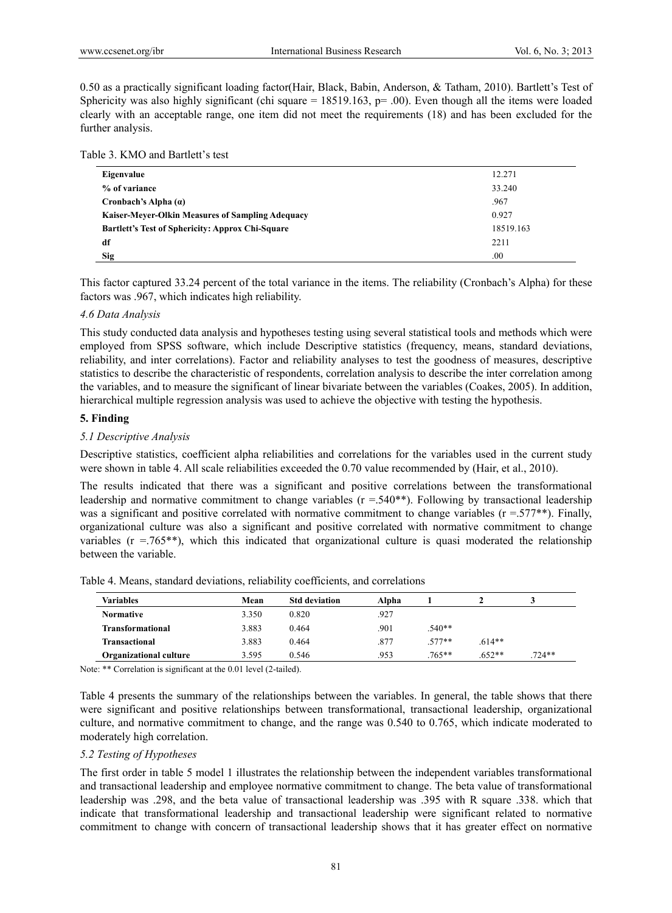0.50 as a practically significant loading factor(Hair, Black, Babin, Anderson, & Tatham, 2010). Bartlett's Test of Sphericity was also highly significant (chi square  $= 18519.163$ , p= .00). Even though all the items were loaded clearly with an acceptable range, one item did not meet the requirements (18) and has been excluded for the further analysis.

Table 3. KMO and Bartlett's test

| Eigenvalue                                              | 12.271    |
|---------------------------------------------------------|-----------|
| % of variance                                           | 33.240    |
| Cronbach's Alpha $(a)$                                  | .967      |
| Kaiser-Meyer-Olkin Measures of Sampling Adequacy        | 0.927     |
| <b>Bartlett's Test of Sphericity: Approx Chi-Square</b> | 18519.163 |
| df                                                      | 2211      |
| Sig                                                     | $_{.00}$  |

This factor captured 33.24 percent of the total variance in the items. The reliability (Cronbach's Alpha) for these factors was .967, which indicates high reliability.

## *4.6 Data Analysis*

This study conducted data analysis and hypotheses testing using several statistical tools and methods which were employed from SPSS software, which include Descriptive statistics (frequency, means, standard deviations, reliability, and inter correlations). Factor and reliability analyses to test the goodness of measures, descriptive statistics to describe the characteristic of respondents, correlation analysis to describe the inter correlation among the variables, and to measure the significant of linear bivariate between the variables (Coakes, 2005). In addition, hierarchical multiple regression analysis was used to achieve the objective with testing the hypothesis.

# **5. Finding**

## *5.1 Descriptive Analysis*

Descriptive statistics, coefficient alpha reliabilities and correlations for the variables used in the current study were shown in table 4. All scale reliabilities exceeded the 0.70 value recommended by (Hair, et al., 2010).

The results indicated that there was a significant and positive correlations between the transformational leadership and normative commitment to change variables  $(r = .540**)$ . Following by transactional leadership was a significant and positive correlated with normative commitment to change variables  $(r = .577**)$ . Finally, organizational culture was also a significant and positive correlated with normative commitment to change variables ( $r = .765$ <sup>\*\*</sup>), which this indicated that organizational culture is quasi moderated the relationship between the variable.

| Variables                     | Mean  | <b>Std deviation</b> | Alpha |          |          |        |
|-------------------------------|-------|----------------------|-------|----------|----------|--------|
| <b>Normative</b>              | 3.350 | 0.820                | .927  |          |          |        |
| Transformational              | 3.883 | 0.464                | .901  | $.540**$ |          |        |
| Transactional                 | 3.883 | 0.464                | .877  | $577**$  | $.614**$ |        |
| <b>Organizational culture</b> | 3.595 | 0.546                | .953  | $.765**$ | $652**$  | .724** |

Table 4. Means, standard deviations, reliability coefficients, and correlations

Note: \*\* Correlation is significant at the 0.01 level (2-tailed).

Table 4 presents the summary of the relationships between the variables. In general, the table shows that there were significant and positive relationships between transformational, transactional leadership, organizational culture, and normative commitment to change, and the range was 0.540 to 0.765, which indicate moderated to moderately high correlation.

## *5.2 Testing of Hypotheses*

The first order in table 5 model 1 illustrates the relationship between the independent variables transformational and transactional leadership and employee normative commitment to change. The beta value of transformational leadership was .298, and the beta value of transactional leadership was .395 with R square .338. which that indicate that transformational leadership and transactional leadership were significant related to normative commitment to change with concern of transactional leadership shows that it has greater effect on normative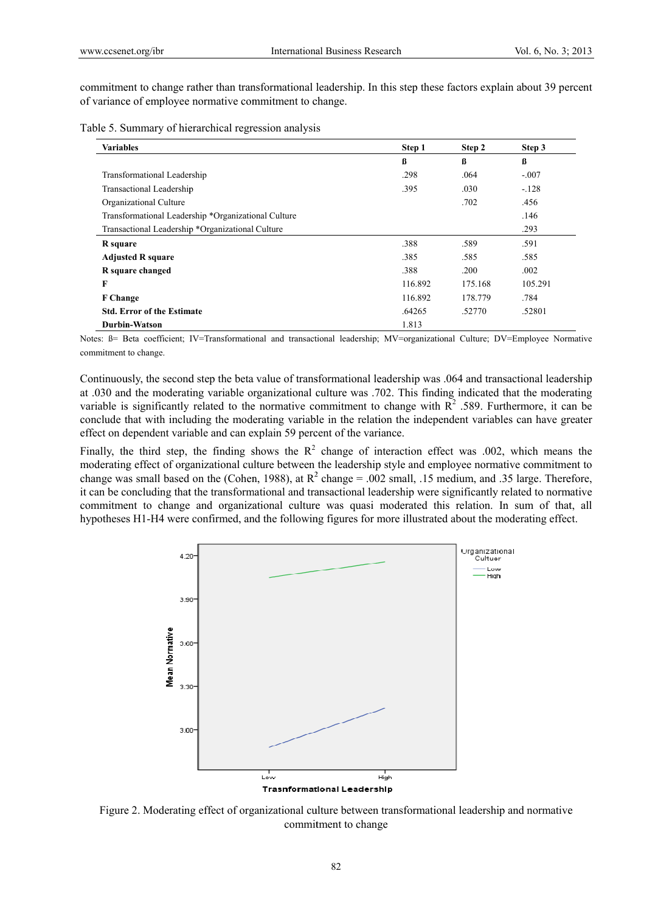commitment to change rather than transformational leadership. In this step these factors explain about 39 percent of variance of employee normative commitment to change.

Table 5. Summary of hierarchical regression analysis

| <b>Variables</b>                                    | Step 1  | Step 2  | Step 3  |
|-----------------------------------------------------|---------|---------|---------|
|                                                     | ß       | ß       | ß       |
| Transformational Leadership                         | .298    | .064    | $-.007$ |
| Transactional Leadership                            | .395    | .030    | $-.128$ |
| Organizational Culture                              |         | .702    | .456    |
| Transformational Leadership *Organizational Culture |         |         | .146    |
| Transactional Leadership *Organizational Culture    |         |         | .293    |
| R square                                            | .388    | .589    | .591    |
| <b>Adjusted R square</b>                            | .385    | .585    | .585    |
| R square changed                                    | .388    | .200    | .002    |
| F                                                   | 116.892 | 175.168 | 105.291 |
| <b>F</b> Change                                     | 116.892 | 178.779 | .784    |
| <b>Std. Error of the Estimate</b>                   | .64265  | .52770  | .52801  |
| Durbin-Watson                                       | 1.813   |         |         |

Notes: B= Beta coefficient; IV=Transformational and transactional leadership; MV=organizational Culture; DV=Employee Normative commitment to change.

Continuously, the second step the beta value of transformational leadership was .064 and transactional leadership at .030 and the moderating variable organizational culture was .702. This finding indicated that the moderating variable is significantly related to the normative commitment to change with  $R^2$ . 589. Furthermore, it can be conclude that with including the moderating variable in the relation the independent variables can have greater effect on dependent variable and can explain 59 percent of the variance.

Finally, the third step, the finding shows the  $R^2$  change of interaction effect was .002, which means the moderating effect of organizational culture between the leadership style and employee normative commitment to change was small based on the (Cohen, 1988), at  $R^2$  change = .002 small, .15 medium, and .35 large. Therefore, it can be concluding that the transformational and transactional leadership were significantly related to normative commitment to change and organizational culture was quasi moderated this relation. In sum of that, all hypotheses H<sub>1</sub>-H<sub>4</sub> were confirmed, and the following figures for more illustrated about the moderating effect.



Figure 2. Moderating effect of organizational culture between transformational leadership and normative commitment to change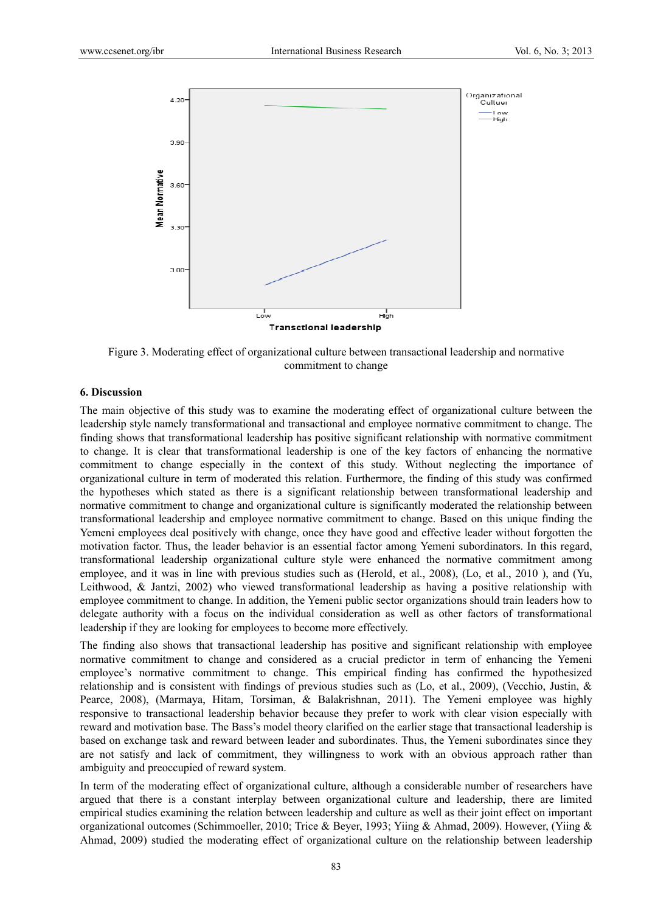

Figure 3. Moderating effect of organizational culture between transactional leadership and normative commitment to change

#### **6. Discussion**

The main objective of this study was to examine the moderating effect of organizational culture between the leadership style namely transformational and transactional and employee normative commitment to change. The finding shows that transformational leadership has positive significant relationship with normative commitment to change. It is clear that transformational leadership is one of the key factors of enhancing the normative commitment to change especially in the context of this study. Without neglecting the importance of organizational culture in term of moderated this relation. Furthermore, the finding of this study was confirmed the hypotheses which stated as there is a significant relationship between transformational leadership and normative commitment to change and organizational culture is significantly moderated the relationship between transformational leadership and employee normative commitment to change. Based on this unique finding the Yemeni employees deal positively with change, once they have good and effective leader without forgotten the motivation factor. Thus, the leader behavior is an essential factor among Yemeni subordinators. In this regard, transformational leadership organizational culture style were enhanced the normative commitment among employee, and it was in line with previous studies such as (Herold, et al., 2008), (Lo, et al., 2010), and (Yu, Leithwood, & Jantzi, 2002) who viewed transformational leadership as having a positive relationship with employee commitment to change. In addition, the Yemeni public sector organizations should train leaders how to delegate authority with a focus on the individual consideration as well as other factors of transformational leadership if they are looking for employees to become more effectively.

The finding also shows that transactional leadership has positive and significant relationship with employee normative commitment to change and considered as a crucial predictor in term of enhancing the Yemeni employee's normative commitment to change. This empirical finding has confirmed the hypothesized relationship and is consistent with findings of previous studies such as (Lo, et al., 2009), (Vecchio, Justin, & Pearce, 2008), (Marmaya, Hitam, Torsiman, & Balakrishnan, 2011). The Yemeni employee was highly responsive to transactional leadership behavior because they prefer to work with clear vision especially with reward and motivation base. The Bass's model theory clarified on the earlier stage that transactional leadership is based on exchange task and reward between leader and subordinates. Thus, the Yemeni subordinates since they are not satisfy and lack of commitment, they willingness to work with an obvious approach rather than ambiguity and preoccupied of reward system.

In term of the moderating effect of organizational culture, although a considerable number of researchers have argued that there is a constant interplay between organizational culture and leadership, there are limited empirical studies examining the relation between leadership and culture as well as their joint effect on important organizational outcomes (Schimmoeller, 2010; Trice & Beyer, 1993; Yiing & Ahmad, 2009). However, (Yiing & Ahmad, 2009) studied the moderating effect of organizational culture on the relationship between leadership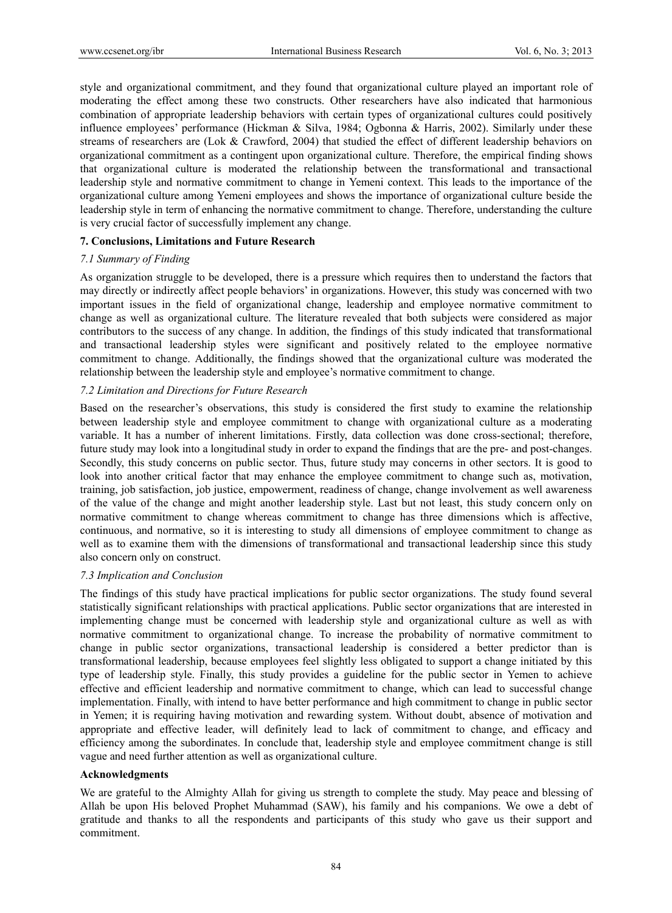style and organizational commitment, and they found that organizational culture played an important role of moderating the effect among these two constructs. Other researchers have also indicated that harmonious combination of appropriate leadership behaviors with certain types of organizational cultures could positively influence employees' performance (Hickman & Silva, 1984; Ogbonna & Harris, 2002). Similarly under these streams of researchers are (Lok & Crawford, 2004) that studied the effect of different leadership behaviors on organizational commitment as a contingent upon organizational culture. Therefore, the empirical finding shows that organizational culture is moderated the relationship between the transformational and transactional leadership style and normative commitment to change in Yemeni context. This leads to the importance of the organizational culture among Yemeni employees and shows the importance of organizational culture beside the leadership style in term of enhancing the normative commitment to change. Therefore, understanding the culture is very crucial factor of successfully implement any change.

#### **7. Conclusions, Limitations and Future Research**

#### *7.1 Summary of Finding*

As organization struggle to be developed, there is a pressure which requires then to understand the factors that may directly or indirectly affect people behaviors' in organizations. However, this study was concerned with two important issues in the field of organizational change, leadership and employee normative commitment to change as well as organizational culture. The literature revealed that both subjects were considered as major contributors to the success of any change. In addition, the findings of this study indicated that transformational and transactional leadership styles were significant and positively related to the employee normative commitment to change. Additionally, the findings showed that the organizational culture was moderated the relationship between the leadership style and employee's normative commitment to change.

#### *7.2 Limitation and Directions for Future Research*

Based on the researcher's observations, this study is considered the first study to examine the relationship between leadership style and employee commitment to change with organizational culture as a moderating variable. It has a number of inherent limitations. Firstly, data collection was done cross-sectional; therefore, future study may look into a longitudinal study in order to expand the findings that are the pre- and post-changes. Secondly, this study concerns on public sector. Thus, future study may concerns in other sectors. It is good to look into another critical factor that may enhance the employee commitment to change such as, motivation, training, job satisfaction, job justice, empowerment, readiness of change, change involvement as well awareness of the value of the change and might another leadership style. Last but not least, this study concern only on normative commitment to change whereas commitment to change has three dimensions which is affective, continuous, and normative, so it is interesting to study all dimensions of employee commitment to change as well as to examine them with the dimensions of transformational and transactional leadership since this study also concern only on construct.

#### *7.3 Implication and Conclusion*

The findings of this study have practical implications for public sector organizations. The study found several statistically significant relationships with practical applications. Public sector organizations that are interested in implementing change must be concerned with leadership style and organizational culture as well as with normative commitment to organizational change. To increase the probability of normative commitment to change in public sector organizations, transactional leadership is considered a better predictor than is transformational leadership, because employees feel slightly less obligated to support a change initiated by this type of leadership style. Finally, this study provides a guideline for the public sector in Yemen to achieve effective and efficient leadership and normative commitment to change, which can lead to successful change implementation. Finally, with intend to have better performance and high commitment to change in public sector in Yemen; it is requiring having motivation and rewarding system. Without doubt, absence of motivation and appropriate and effective leader, will definitely lead to lack of commitment to change, and efficacy and efficiency among the subordinates. In conclude that, leadership style and employee commitment change is still vague and need further attention as well as organizational culture.

## **Acknowledgments**

We are grateful to the Almighty Allah for giving us strength to complete the study. May peace and blessing of Allah be upon His beloved Prophet Muhammad (SAW), his family and his companions. We owe a debt of gratitude and thanks to all the respondents and participants of this study who gave us their support and commitment.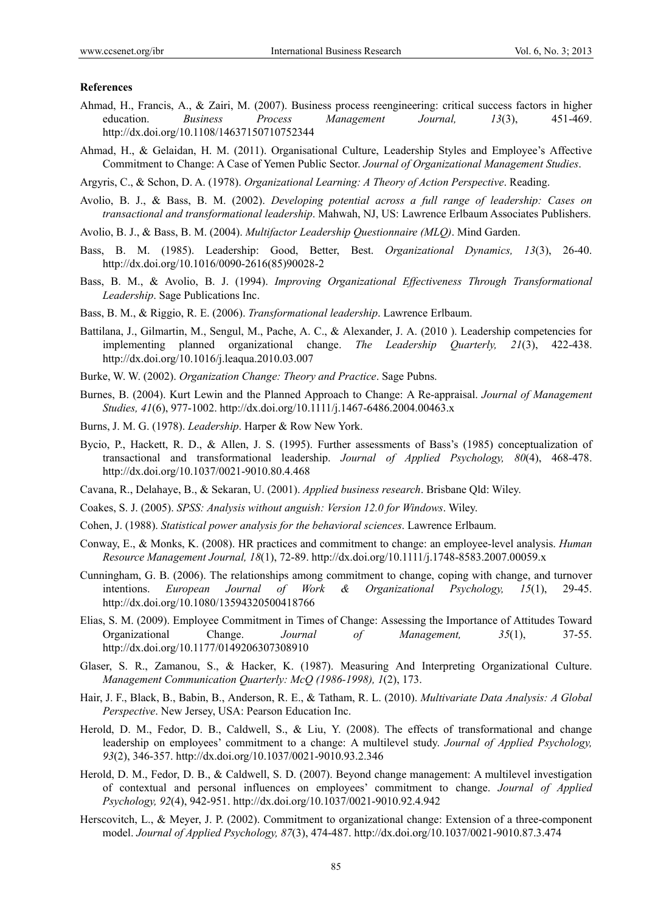#### **References**

- Ahmad, H., Francis, A., & Zairi, M. (2007). Business process reengineering: critical success factors in higher education. *Business Process Management Journal, 13*(3), 451-469. http://dx.doi.org/10.1108/14637150710752344
- Ahmad, H., & Gelaidan, H. M. (2011). Organisational Culture, Leadership Styles and Employee's Affective Commitment to Change: A Case of Yemen Public Sector. *Journal of Organizational Management Studies*.

Argyris, C., & Schon, D. A. (1978). *Organizational Learning: A Theory of Action Perspective*. Reading.

- Avolio, B. J., & Bass, B. M. (2002). *Developing potential across a full range of leadership: Cases on transactional and transformational leadership*. Mahwah, NJ, US: Lawrence Erlbaum Associates Publishers.
- Avolio, B. J., & Bass, B. M. (2004). *Multifactor Leadership Questionnaire (MLQ)*. Mind Garden.
- Bass, B. M. (1985). Leadership: Good, Better, Best. *Organizational Dynamics, 13*(3), 26-40. http://dx.doi.org/10.1016/0090-2616(85)90028-2
- Bass, B. M., & Avolio, B. J. (1994). *Improving Organizational Effectiveness Through Transformational Leadership*. Sage Publications Inc.
- Bass, B. M., & Riggio, R. E. (2006). *Transformational leadership*. Lawrence Erlbaum.
- Battilana, J., Gilmartin, M., Sengul, M., Pache, A. C., & Alexander, J. A. (2010 ). Leadership competencies for implementing planned organizational change. *The Leadership Quarterly, 21*(3), 422-438. http://dx.doi.org/10.1016/j.leaqua.2010.03.007
- Burke, W. W. (2002). *Organization Change: Theory and Practice*. Sage Pubns.
- Burnes, B. (2004). Kurt Lewin and the Planned Approach to Change: A Re-appraisal. *Journal of Management Studies, 41*(6), 977-1002. http://dx.doi.org/10.1111/j.1467-6486.2004.00463.x
- Burns, J. M. G. (1978). *Leadership*. Harper & Row New York.
- Bycio, P., Hackett, R. D., & Allen, J. S. (1995). Further assessments of Bass's (1985) conceptualization of transactional and transformational leadership. *Journal of Applied Psychology, 80*(4), 468-478. http://dx.doi.org/10.1037/0021-9010.80.4.468
- Cavana, R., Delahaye, B., & Sekaran, U. (2001). *Applied business research*. Brisbane Qld: Wiley.
- Coakes, S. J. (2005). *SPSS: Analysis without anguish: Version 12.0 for Windows*. Wiley.
- Cohen, J. (1988). *Statistical power analysis for the behavioral sciences*. Lawrence Erlbaum.
- Conway, E., & Monks, K. (2008). HR practices and commitment to change: an employee-level analysis. *Human Resource Management Journal, 18*(1), 72-89. http://dx.doi.org/10.1111/j.1748-8583.2007.00059.x
- Cunningham, G. B. (2006). The relationships among commitment to change, coping with change, and turnover intentions. *European Journal of Work & Organizational Psychology, 15*(1), 29-45. http://dx.doi.org/10.1080/13594320500418766
- Elias, S. M. (2009). Employee Commitment in Times of Change: Assessing the Importance of Attitudes Toward Organizational Change. *Journal of Management, 35*(1), 37-55. http://dx.doi.org/10.1177/0149206307308910
- Glaser, S. R., Zamanou, S., & Hacker, K. (1987). Measuring And Interpreting Organizational Culture. *Management Communication Quarterly: McQ (1986-1998), 1*(2), 173.
- Hair, J. F., Black, B., Babin, B., Anderson, R. E., & Tatham, R. L. (2010). *Multivariate Data Analysis: A Global Perspective*. New Jersey, USA: Pearson Education Inc.
- Herold, D. M., Fedor, D. B., Caldwell, S., & Liu, Y. (2008). The effects of transformational and change leadership on employees' commitment to a change: A multilevel study. *Journal of Applied Psychology, 93*(2), 346-357. http://dx.doi.org/10.1037/0021-9010.93.2.346
- Herold, D. M., Fedor, D. B., & Caldwell, S. D. (2007). Beyond change management: A multilevel investigation of contextual and personal influences on employees' commitment to change. *Journal of Applied Psychology, 92*(4), 942-951. http://dx.doi.org/10.1037/0021-9010.92.4.942
- Herscovitch, L., & Meyer, J. P. (2002). Commitment to organizational change: Extension of a three-component model. *Journal of Applied Psychology, 87*(3), 474-487. http://dx.doi.org/10.1037/0021-9010.87.3.474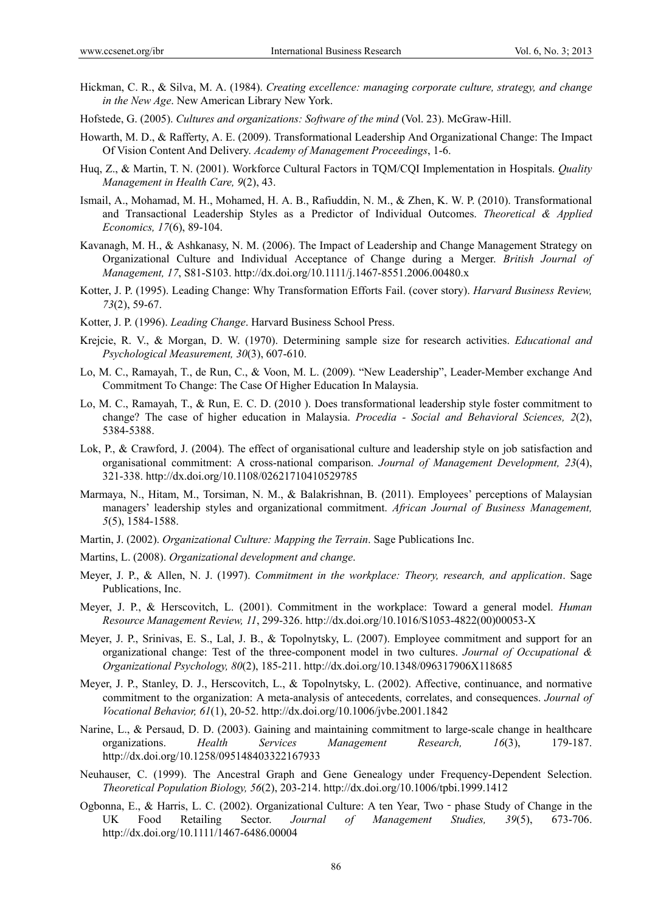- Hickman, C. R., & Silva, M. A. (1984). *Creating excellence: managing corporate culture, strategy, and change in the New Age*. New American Library New York.
- Hofstede, G. (2005). *Cultures and organizations: Software of the mind* (Vol. 23). McGraw-Hill.
- Howarth, M. D., & Rafferty, A. E. (2009). Transformational Leadership And Organizational Change: The Impact Of Vision Content And Delivery. *Academy of Management Proceedings*, 1-6.
- Huq, Z., & Martin, T. N. (2001). Workforce Cultural Factors in TQM/CQI Implementation in Hospitals. *Quality Management in Health Care, 9*(2), 43.
- Ismail, A., Mohamad, M. H., Mohamed, H. A. B., Rafiuddin, N. M., & Zhen, K. W. P. (2010). Transformational and Transactional Leadership Styles as a Predictor of Individual Outcomes. *Theoretical & Applied Economics, 17*(6), 89-104.
- Kavanagh, M. H., & Ashkanasy, N. M. (2006). The Impact of Leadership and Change Management Strategy on Organizational Culture and Individual Acceptance of Change during a Merger. *British Journal of Management, 17*, S81-S103. http://dx.doi.org/10.1111/j.1467-8551.2006.00480.x
- Kotter, J. P. (1995). Leading Change: Why Transformation Efforts Fail. (cover story). *Harvard Business Review, 73*(2), 59-67.
- Kotter, J. P. (1996). *Leading Change*. Harvard Business School Press.
- Krejcie, R. V., & Morgan, D. W. (1970). Determining sample size for research activities. *Educational and Psychological Measurement, 30*(3), 607-610.
- Lo, M. C., Ramayah, T., de Run, C., & Voon, M. L. (2009). "New Leadership", Leader-Member exchange And Commitment To Change: The Case Of Higher Education In Malaysia.
- Lo, M. C., Ramayah, T., & Run, E. C. D. (2010 ). Does transformational leadership style foster commitment to change? The case of higher education in Malaysia. *Procedia - Social and Behavioral Sciences, 2*(2), 5384-5388.
- Lok, P., & Crawford, J. (2004). The effect of organisational culture and leadership style on job satisfaction and organisational commitment: A cross-national comparison. *Journal of Management Development, 23*(4), 321-338. http://dx.doi.org/10.1108/02621710410529785
- Marmaya, N., Hitam, M., Torsiman, N. M., & Balakrishnan, B. (2011). Employees' perceptions of Malaysian managers' leadership styles and organizational commitment. *African Journal of Business Management, 5*(5), 1584-1588.
- Martin, J. (2002). *Organizational Culture: Mapping the Terrain*. Sage Publications Inc.
- Martins, L. (2008). *Organizational development and change*.
- Meyer, J. P., & Allen, N. J. (1997). *Commitment in the workplace: Theory, research, and application*. Sage Publications, Inc.
- Meyer, J. P., & Herscovitch, L. (2001). Commitment in the workplace: Toward a general model. *Human Resource Management Review, 11*, 299-326. http://dx.doi.org/10.1016/S1053-4822(00)00053-X
- Meyer, J. P., Srinivas, E. S., Lal, J. B., & Topolnytsky, L. (2007). Employee commitment and support for an organizational change: Test of the three-component model in two cultures. *Journal of Occupational & Organizational Psychology, 80*(2), 185-211. http://dx.doi.org/10.1348/096317906X118685
- Meyer, J. P., Stanley, D. J., Herscovitch, L., & Topolnytsky, L. (2002). Affective, continuance, and normative commitment to the organization: A meta-analysis of antecedents, correlates, and consequences. *Journal of Vocational Behavior, 61*(1), 20-52. http://dx.doi.org/10.1006/jvbe.2001.1842
- Narine, L., & Persaud, D. D. (2003). Gaining and maintaining commitment to large-scale change in healthcare organizations. *Health Services Management Research, 16*(3), 179-187. http://dx.doi.org/10.1258/095148403322167933
- Neuhauser, C. (1999). The Ancestral Graph and Gene Genealogy under Frequency-Dependent Selection. *Theoretical Population Biology, 56*(2), 203-214. http://dx.doi.org/10.1006/tpbi.1999.1412
- Ogbonna, E., & Harris, L. C. (2002). Organizational Culture: A ten Year, Two phase Study of Change in the UK Food Retailing Sector. *Journal of Management Studies, 39*(5), 673-706. http://dx.doi.org/10.1111/1467-6486.00004